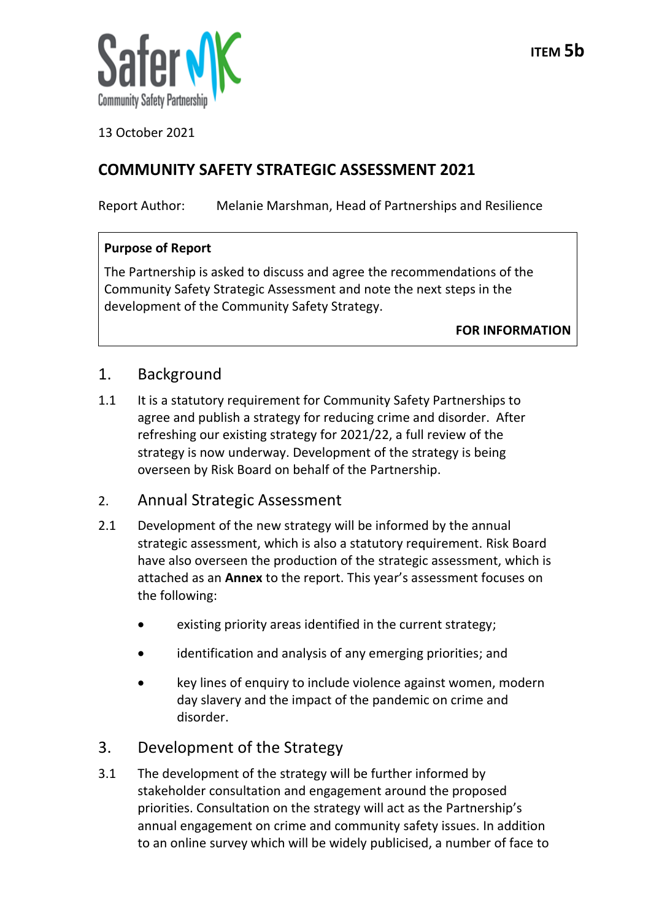

13 October 2021

# **COMMUNITY SAFETY STRATEGIC ASSESSMENT 2021**

Report Author: Melanie Marshman, Head of Partnerships and Resilience

### **Purpose of Report**

The Partnership is asked to discuss and agree the recommendations of the Community Safety Strategic Assessment and note the next steps in the development of the Community Safety Strategy.

**FOR INFORMATION**

## 1. Background

1.1 It is a statutory requirement for Community Safety Partnerships to agree and publish a strategy for reducing crime and disorder. After refreshing our existing strategy for 2021/22, a full review of the strategy is now underway. Development of the strategy is being overseen by Risk Board on behalf of the Partnership.

### 2. Annual Strategic Assessment

- 2.1 Development of the new strategy will be informed by the annual strategic assessment, which is also a statutory requirement. Risk Board have also overseen the production of the strategic assessment, which is attached as an **Annex** to the report. This year's assessment focuses on the following:
	- existing priority areas identified in the current strategy;
	- identification and analysis of any emerging priorities; and
	- key lines of enquiry to include violence against women, modern day slavery and the impact of the pandemic on crime and disorder.

# 3. Development of the Strategy

3.1 The development of the strategy will be further informed by stakeholder consultation and engagement around the proposed priorities. Consultation on the strategy will act as the Partnership's annual engagement on crime and community safety issues. In addition to an online survey which will be widely publicised, a number of face to